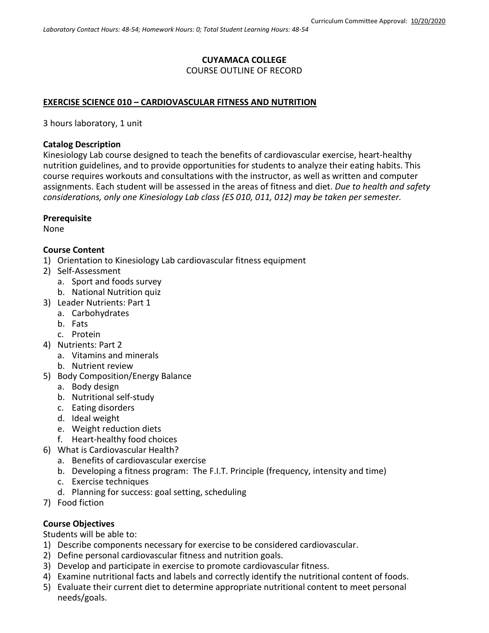#### **CUYAMACA COLLEGE** COURSE OUTLINE OF RECORD

### **EXERCISE SCIENCE 010 – CARDIOVASCULAR FITNESS AND NUTRITION**

3 hours laboratory, 1 unit

#### **Catalog Description**

Kinesiology Lab course designed to teach the benefits of cardiovascular exercise, heart-healthy nutrition guidelines, and to provide opportunities for students to analyze their eating habits. This course requires workouts and consultations with the instructor, as well as written and computer assignments. Each student will be assessed in the areas of fitness and diet. *Due to health and safety considerations, only one Kinesiology Lab class (ES 010, 011, 012) may be taken per semester.*

#### **Prerequisite**

None

### **Course Content**

1) Orientation to Kinesiology Lab cardiovascular fitness equipment

- 2) Self-Assessment
	- a. Sport and foods survey
	- b. National Nutrition quiz
- 3) Leader Nutrients: Part 1
- a. Carbohydrates
	- b. Fats
	- c. Protein
- 4) Nutrients: Part 2
	- a. Vitamins and minerals
	- b. Nutrient review
- 5) Body Composition/Energy Balance
	- a. Body design
	- b. Nutritional self-study
	- c. Eating disorders
	- d. Ideal weight
	- e. Weight reduction diets
	- f. Heart-healthy food choices
- 6) What is Cardiovascular Health?
	- a. Benefits of cardiovascular exercise
	- b. Developing a fitness program: The F.I.T. Principle (frequency, intensity and time)
	- c. Exercise techniques
	- d. Planning for success: goal setting, scheduling
- 7) Food fiction

### **Course Objectives**

Students will be able to:

- 1) Describe components necessary for exercise to be considered cardiovascular.
- 2) Define personal cardiovascular fitness and nutrition goals.
- 3) Develop and participate in exercise to promote cardiovascular fitness.
- 4) Examine nutritional facts and labels and correctly identify the nutritional content of foods.
- 5) Evaluate their current diet to determine appropriate nutritional content to meet personal needs/goals.